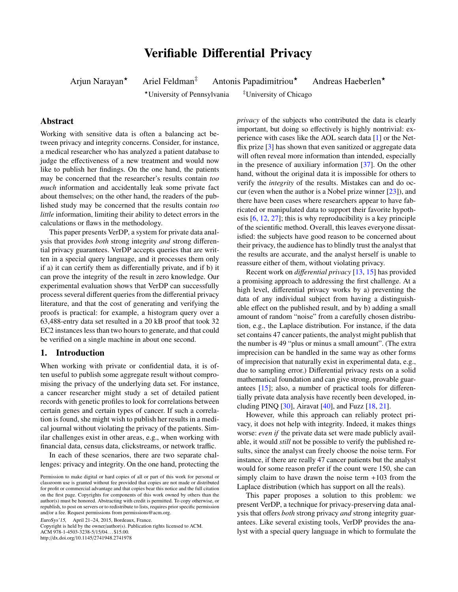# Verifiable Differential Privacy

Arjun Narayan<sup>\*</sup> Ariel Feldman<sup>‡</sup> Antonis Papadimitriou<sup>\*</sup> Andreas Haeberlen<sup>\*</sup>

?University of Pennsylvania ‡University of Chicago

# Abstract

Working with sensitive data is often a balancing act between privacy and integrity concerns. Consider, for instance, a medical researcher who has analyzed a patient database to judge the effectiveness of a new treatment and would now like to publish her findings. On the one hand, the patients may be concerned that the researcher's results contain *too much* information and accidentally leak some private fact about themselves; on the other hand, the readers of the published study may be concerned that the results contain *too little* information, limiting their ability to detect errors in the calculations or flaws in the methodology.

This paper presents VerDP, a system for private data analysis that provides *both* strong integrity *and* strong differential privacy guarantees. VerDP accepts queries that are written in a special query language, and it processes them only if a) it can certify them as differentially private, and if b) it can prove the integrity of the result in zero knowledge. Our experimental evaluation shows that VerDP can successfully process several different queries from the differential privacy literature, and that the cost of generating and verifying the proofs is practical: for example, a histogram query over a 63,488-entry data set resulted in a 20 kB proof that took 32 EC2 instances less than two hours to generate, and that could be verified on a single machine in about one second.

# 1. Introduction

When working with private or confidential data, it is often useful to publish some aggregate result without compromising the privacy of the underlying data set. For instance, a cancer researcher might study a set of detailed patient records with genetic profiles to look for correlations between certain genes and certain types of cancer. If such a correlation is found, she might wish to publish her results in a medical journal without violating the privacy of the patients. Similar challenges exist in other areas, e.g., when working with financial data, census data, clickstreams, or network traffic.

In each of these scenarios, there are two separate challenges: privacy and integrity. On the one hand, protecting the

EuroSys'15, April 21–24, 2015, Bordeaux, France.

Copyright is held by the owner/author(s). Publication rights licensed to ACM. ACM 978-1-4503-3238-5/15/04. . . \$15.00.

http://dx.doi.org/10.1145/2741948.2741978

*privacy* of the subjects who contributed the data is clearly important, but doing so effectively is highly nontrivial: experience with cases like the AOL search data [\[1\]](#page-12-0) or the Net-flix prize [\[3\]](#page-12-1) has shown that even sanitized or aggregate data will often reveal more information than intended, especially in the presence of auxiliary information [\[37\]](#page-13-0). On the other hand, without the original data it is impossible for others to verify the *integrity* of the results. Mistakes can and do occur (even when the author is a Nobel prize winner  $[23]$ ), and there have been cases where researchers appear to have fabricated or manipulated data to support their favorite hypothesis [\[6,](#page-12-2) [12,](#page-12-3) [27\]](#page-13-2); this is why reproducibility is a key principle of the scientific method. Overall, this leaves everyone dissatisfied: the subjects have good reason to be concerned about their privacy, the audience has to blindly trust the analyst that the results are accurate, and the analyst herself is unable to reassure either of them, without violating privacy.

Recent work on *di*ff*erential privacy* [\[13,](#page-12-4) [15\]](#page-13-3) has provided a promising approach to addressing the first challenge. At a high level, differential privacy works by a) preventing the data of any individual subject from having a distinguishable effect on the published result, and by b) adding a small amount of random "noise" from a carefully chosen distribution, e.g., the Laplace distribution. For instance, if the data set contains 47 cancer patients, the analyst might publish that the number is 49 "plus or minus a small amount". (The extra imprecision can be handled in the same way as other forms of imprecision that naturally exist in experimental data, e.g., due to sampling error.) Differential privacy rests on a solid mathematical foundation and can give strong, provable guarantees [\[15\]](#page-13-3); also, a number of practical tools for differentially private data analysis have recently been developed, including PINQ  $[30]$ , Airavat  $[40]$ , and Fuzz  $[18, 21]$  $[18, 21]$  $[18, 21]$ .

However, while this approach can reliably protect privacy, it does not help with integrity. Indeed, it makes things worse: *even if* the private data set were made publicly available, it would *still* not be possible to verify the published results, since the analyst can freely choose the noise term. For instance, if there are really 47 cancer patients but the analyst would for some reason prefer if the count were 150, she can simply claim to have drawn the noise term  $+103$  from the Laplace distribution (which has support on all the reals).

This paper proposes a solution to this problem: we present VerDP, a technique for privacy-preserving data analysis that offers *both* strong privacy *and* strong integrity guarantees. Like several existing tools, VerDP provides the analyst with a special query language in which to formulate the

Permission to make digital or hard copies of all or part of this work for personal or classroom use is granted without fee provided that copies are not made or distributed for profit or commercial advantage and that copies bear this notice and the full citation on the first page. Copyrights for components of this work owned by others than the author(s) must be honored. Abstracting with credit is permitted. To copy otherwise, or republish, to post on servers or to redistribute to lists, requires prior specific permission and/or a fee. Request permissions from permissions@acm.org.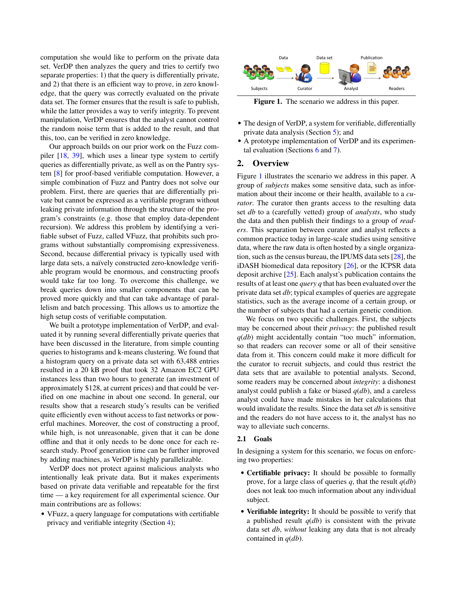computation she would like to perform on the private data set. VerDP then analyzes the query and tries to certify two separate properties: 1) that the query is differentially private, and 2) that there is an efficient way to prove, in zero knowledge, that the query was correctly evaluated on the private data set. The former ensures that the result is safe to publish, while the latter provides a way to verify integrity. To prevent manipulation, VerDP ensures that the analyst cannot control the random noise term that is added to the result, and that this, too, can be verified in zero knowledge.

Our approach builds on our prior work on the Fuzz compiler [\[18,](#page-13-6) [39\]](#page-13-8), which uses a linear type system to certify queries as differentially private, as well as on the Pantry system [\[8\]](#page-12-5) for proof-based verifiable computation. However, a simple combination of Fuzz and Pantry does not solve our problem. First, there are queries that are differentially private but cannot be expressed as a verifiable program without leaking private information through the structure of the program's constraints (e.g. those that employ data-dependent recursion). We address this problem by identifying a verifiable subset of Fuzz, called VFuzz, that prohibits such programs without substantially compromising expressiveness. Second, because differential privacy is typically used with large data sets, a naïvely constructed zero-knowledge verifiable program would be enormous, and constructing proofs would take far too long. To overcome this challenge, we break queries down into smaller components that can be proved more quickly and that can take advantage of parallelism and batch processing. This allows us to amortize the high setup costs of verifiable computation.

We built a prototype implementation of VerDP, and evaluated it by running several differentially private queries that have been discussed in the literature, from simple counting queries to histograms and k-means clustering. We found that a histogram query on a private data set with 63,488 entries resulted in a 20 kB proof that took 32 Amazon EC2 GPU instances less than two hours to generate (an investment of approximately \$128, at current prices) and that could be verified on one machine in about one second. In general, our results show that a research study's results can be verified quite efficiently even without access to fast networks or powerful machines. Moreover, the cost of constructing a proof, while high, is not unreasonable, given that it can be done offline and that it only needs to be done once for each research study. Proof generation time can be further improved by adding machines, as VerDP is highly parallelizable.

VerDP does not protect against malicious analysts who intentionally leak private data. But it makes experiments based on private data verifiable and repeatable for the first time — a key requirement for all experimental science. Our main contributions are as follows:

• VFuzz, a query language for computations with certifiable privacy and verifiable integrity (Section [4\)](#page-4-0);



<span id="page-1-0"></span>Figure 1. The scenario we address in this paper.

- The design of VerDP, a system for verifiable, differentially private data analysis (Section [5\)](#page-5-0); and
- A prototype implementation of VerDP and its experimental evaluation (Sections [6](#page-8-0) and [7\)](#page-9-0).

# 2. Overview

Figure [1](#page-1-0) illustrates the scenario we address in this paper. A group of *subjects* makes some sensitive data, such as information about their income or their health, available to a *curator*. The curator then grants access to the resulting data set *db* to a (carefully vetted) group of *analysts*, who study the data and then publish their findings to a group of *readers*. This separation between curator and analyst reflects a common practice today in large-scale studies using sensitive data, where the raw data is often hosted by a single organization, such as the census bureau, the IPUMS data sets [\[28\]](#page-13-9), the iDASH biomedical data repository [\[26\]](#page-13-10), or the ICPSR data deposit archive [\[25\]](#page-13-11). Each analyst's publication contains the results of at least one *query q* that has been evaluated over the private data set *db*; typical examples of queries are aggregate statistics, such as the average income of a certain group, or the number of subjects that had a certain genetic condition.

We focus on two specific challenges. First, the subjects may be concerned about their *privacy*: the published result *q*(*db*) might accidentally contain "too much" information, so that readers can recover some or all of their sensitive data from it. This concern could make it more difficult for the curator to recruit subjects, and could thus restrict the data sets that are available to potential analysts. Second, some readers may be concerned about *integrity*: a dishonest analyst could publish a fake or biased *q*(*db*), and a careless analyst could have made mistakes in her calculations that would invalidate the results. Since the data set *db* is sensitive and the readers do not have access to it, the analyst has no way to alleviate such concerns.

#### <span id="page-1-1"></span>2.1 Goals

In designing a system for this scenario, we focus on enforcing two properties:

- Certifiable privacy: It should be possible to formally prove, for a large class of queries  $q$ , that the result  $q(db)$ does not leak too much information about any individual subject.
- Verifiable integrity: It should be possible to verify that a published result *q*(*db*) is consistent with the private data set *db*, *without* leaking any data that is not already contained in *q*(*db*).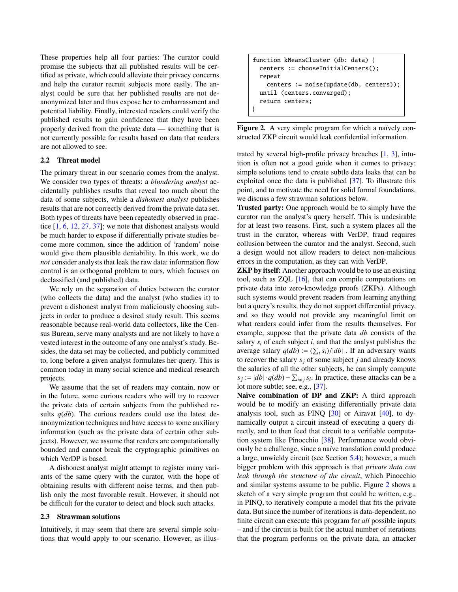These properties help all four parties: The curator could promise the subjects that all published results will be certified as private, which could alleviate their privacy concerns and help the curator recruit subjects more easily. The analyst could be sure that her published results are not deanonymized later and thus expose her to embarrassment and potential liability. Finally, interested readers could verify the published results to gain confidence that they have been properly derived from the private data — something that is not currently possible for results based on data that readers are not allowed to see.

# 2.2 Threat model

The primary threat in our scenario comes from the analyst. We consider two types of threats: a *blundering analyst* accidentally publishes results that reveal too much about the data of some subjects, while a *dishonest analyst* publishes results that are not correctly derived from the private data set. Both types of threats have been repeatedly observed in practice [\[1,](#page-12-0) [6,](#page-12-2) [12,](#page-12-3) [27,](#page-13-2) [37\]](#page-13-0); we note that dishonest analysts would be much harder to expose if differentially private studies become more common, since the addition of 'random' noise would give them plausible deniability. In this work, we do *not* consider analysts that leak the raw data: information flow control is an orthogonal problem to ours, which focuses on declassified (and published) data.

We rely on the separation of duties between the curator (who collects the data) and the analyst (who studies it) to prevent a dishonest analyst from maliciously choosing subjects in order to produce a desired study result. This seems reasonable because real-world data collectors, like the Census Bureau, serve many analysts and are not likely to have a vested interest in the outcome of any one analyst's study. Besides, the data set may be collected, and publicly committed to, long before a given analyst formulates her query. This is common today in many social science and medical research projects.

We assume that the set of readers may contain, now or in the future, some curious readers who will try to recover the private data of certain subjects from the published results  $q$ ( $db$ ). The curious readers could use the latest deanonymization techniques and have access to some auxiliary information (such as the private data of certain other subjects). However, we assume that readers are computationally bounded and cannot break the cryptographic primitives on which VerDP is based.

A dishonest analyst might attempt to register many variants of the same query with the curator, with the hope of obtaining results with different noise terms, and then publish only the most favorable result. However, it should not be difficult for the curator to detect and block such attacks.

#### 2.3 Strawman solutions

Intuitively, it may seem that there are several simple solutions that would apply to our scenario. However, as illus-

```
function kMeansCluster (db: data) {
 centers := chooseInitialCenters();
 repeat
   centers := noise(update(db, centers));
 until (centers.converged);
 return centers;
}
```
<span id="page-2-0"></span>Figure 2. A very simple program for which a naïvely constructed ZKP circuit would leak confidential information.

trated by several high-profile privacy breaches [\[1,](#page-12-0) [3\]](#page-12-1), intuition is often not a good guide when it comes to privacy; simple solutions tend to create subtle data leaks that can be exploited once the data is published [\[37\]](#page-13-0). To illustrate this point, and to motivate the need for solid formal foundations, we discuss a few strawman solutions below.

Trusted party: One approach would be to simply have the curator run the analyst's query herself. This is undesirable for at least two reasons. First, such a system places all the trust in the curator, whereas with VerDP, fraud requires collusion between the curator and the analyst. Second, such a design would not allow readers to detect non-malicious errors in the computation, as they can with VerDP.

ZKP by itself: Another approach would be to use an existing tool, such as ZQL [\[16\]](#page-13-12), that can compile computations on private data into zero-knowledge proofs (ZKPs). Although such systems would prevent readers from learning anything but a query's results, they do not support differential privacy, and so they would not provide any meaningful limit on what readers could infer from the results themselves. For example, suppose that the private data *db* consists of the salary  $s_i$  of each subject  $i$ , and that the analyst publishes the average salary  $q(db) := (\sum_i s_i)/|db|$ . If an adversary wants<br>to recover the salary so of some subject *i* and already knows to recover the salary  $s_j$  of some subject *j* and already knows the salaries of all the other subjects, he can simply compute  $s_j := |db| \cdot q(db) - \sum_{i \neq j} s_i$ . In practice, these attacks can be a lot more subtle; see, e.g., [\[37\]](#page-13-0).

Naïve combination of DP and ZKP: A third approach would be to modify an existing differentially private data analysis tool, such as PINQ [\[30\]](#page-13-4) or Airavat [\[40\]](#page-13-5), to dynamically output a circuit instead of executing a query directly, and to then feed that circuit to a verifiable computation system like Pinocchio [\[38\]](#page-13-13). Performance would obviously be a challenge, since a naïve translation could produce a large, unwieldy circuit (see Section [5.4\)](#page-7-0); however, a much bigger problem with this approach is that *private data can leak through the structure of the circuit*, which Pinocchio and similar systems assume to be public. Figure [2](#page-2-0) shows a sketch of a very simple program that could be written, e.g., in PINQ, to iteratively compute a model that fits the private data. But since the number of iterations is data-dependent, no finite circuit can execute this program for *all* possible inputs – and if the circuit is built for the actual number of iterations that the program performs on the private data, an attacker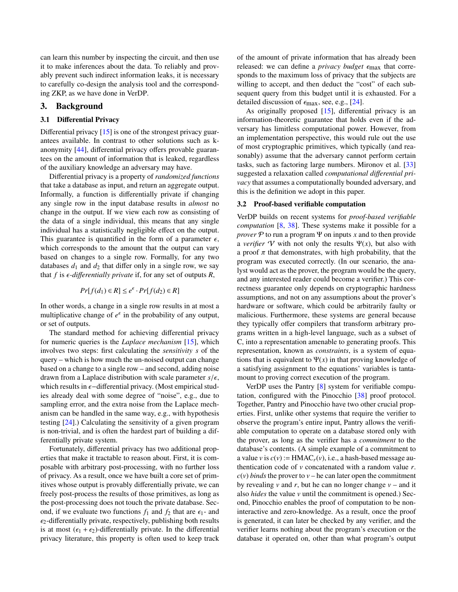can learn this number by inspecting the circuit, and then use it to make inferences about the data. To reliably and provably prevent such indirect information leaks, it is necessary to carefully co-design the analysis tool and the corresponding ZKP, as we have done in VerDP.

# 3. Background

# 3.1 Differential Privacy

Differential privacy [\[15\]](#page-13-3) is one of the strongest privacy guarantees available. In contrast to other solutions such as kanonymity [\[44\]](#page-13-14), differential privacy offers provable guarantees on the amount of information that is leaked, regardless of the auxiliary knowledge an adversary may have.

Differential privacy is a property of *randomized functions* that take a database as input, and return an aggregate output. Informally, a function is differentially private if changing any single row in the input database results in *almost* no change in the output. If we view each row as consisting of the data of a single individual, this means that any single individual has a statistically negligible effect on the output. This guarantee is quantified in the form of a parameter  $\epsilon$ , which corresponds to the amount that the output can vary based on changes to a single row. Formally, for any two databases  $d_1$  and  $d_2$  that differ only in a single row, we say that  $f$  is  $\epsilon$ -differentially private if, for any set of outputs  $R$ ,

$$
Pr[f(d_1) \in R] \le e^{\epsilon} \cdot Pr[f(d_2) \in R]
$$

In other words, a change in a single row results in at most a multiplicative change of  $e^{\epsilon}$  in the probability of any output, or set of outputs.

The standard method for achieving differential privacy for numeric queries is the *Laplace mechanism* [\[15\]](#page-13-3), which involves two steps: first calculating the *sensitivity s* of the query – which is how much the un-noised output can change based on a change to a single row – and second, adding noise drawn from a Laplace distribution with scale parameter  $s/\epsilon$ , which results in  $\epsilon$ -differential privacy. (Most empirical studies already deal with some degree of "noise", e.g., due to sampling error, and the extra noise from the Laplace mechanism can be handled in the same way, e.g., with hypothesis testing [\[24\]](#page-13-15).) Calculating the sensitivity of a given program is non-trivial, and is often the hardest part of building a differentially private system.

Fortunately, differential privacy has two additional properties that make it tractable to reason about. First, it is composable with arbitrary post-processing, with no further loss of privacy. As a result, once we have built a core set of primitives whose output is provably differentially private, we can freely post-process the results of those primitives, as long as the post-processing does not touch the private database. Second, if we evaluate two functions  $f_1$  and  $f_2$  that are  $\epsilon_1$ - and  $\epsilon_2$ -differentially private, respectively, publishing both results is at most  $(\epsilon_1 + \epsilon_2)$ -differentially private. In the differential privacy literature, this property is often used to keep track of the amount of private information that has already been released: we can define a *privacy budget*  $\epsilon_{\text{max}}$  that corresponds to the maximum loss of privacy that the subjects are willing to accept, and then deduct the "cost" of each subsequent query from this budget until it is exhausted. For a detailed discussion of  $\epsilon_{\text{max}}$ , see, e.g., [\[24\]](#page-13-15).

As originally proposed [\[15\]](#page-13-3), differential privacy is an information-theoretic guarantee that holds even if the adversary has limitless computational power. However, from an implementation perspective, this would rule out the use of most cryptographic primitives, which typically (and reasonably) assume that the adversary cannot perform certain tasks, such as factoring large numbers. Mironov et al. [\[33\]](#page-13-16) suggested a relaxation called *computational di*ff*erential privacy* that assumes a computationally bounded adversary, and this is the definition we adopt in this paper.

#### 3.2 Proof-based verifiable computation

VerDP builds on recent systems for *proof-based verifiable computation* [\[8,](#page-12-5) [38\]](#page-13-13). These systems make it possible for a *prover*  $\mathcal P$  to run a program  $\Psi$  on inputs *x* and to then provide a *verifier* V with not only the results  $\Psi(x)$ , but also with a proof  $\pi$  that demonstrates, with high probability, that the program was executed correctly. (In our scenario, the analyst would act as the prover, the program would be the query, and any interested reader could become a verifier.) This correctness guarantee only depends on cryptographic hardness assumptions, and not on any assumptions about the prover's hardware or software, which could be arbitrarily faulty or malicious. Furthermore, these systems are general because they typically offer compilers that transform arbitrary programs written in a high-level language, such as a subset of C, into a representation amenable to generating proofs. This representation, known as *constraints*, is a system of equations that is equivalent to  $\Psi(x)$  in that proving knowledge of a satisfying assignment to the equations' variables is tantamount to proving correct execution of the program.

VerDP uses the Pantry [\[8\]](#page-12-5) system for verifiable computation, configured with the Pinocchio [\[38\]](#page-13-13) proof protocol. Together, Pantry and Pinocchio have two other crucial properties. First, unlike other systems that require the verifier to observe the program's entire input, Pantry allows the verifiable computation to operate on a database stored only with the prover, as long as the verifier has a *commitment* to the database's contents. (A simple example of a commitment to a value *v* is  $c(v) := \text{HMAC}_r(v)$ , i.e., a hash-based message authentication code of *v* concatenated with a random value *r*.  $c(v)$  *binds* the prover to  $v$  – he can later open the commitment by revealing  $\nu$  and  $r$ , but he can no longer change  $\nu$  – and it also *hides* the value *v* until the commitment is opened.) Second, Pinocchio enables the proof of computation to be noninteractive and zero-knowledge. As a result, once the proof is generated, it can later be checked by any verifier, and the verifier learns nothing about the program's execution or the database it operated on, other than what program's output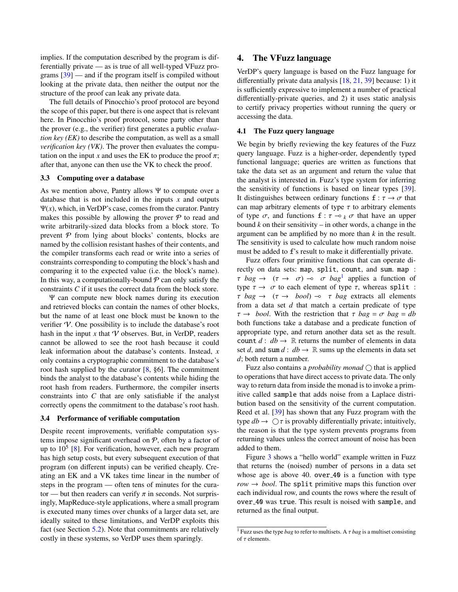implies. If the computation described by the program is differentially private — as is true of all well-typed VFuzz programs  $[39]$  — and if the program itself is compiled without looking at the private data, then neither the output nor the structure of the proof can leak any private data.

The full details of Pinocchio's proof protocol are beyond the scope of this paper, but there is one aspect that is relevant here. In Pinocchio's proof protocol, some party other than the prover (e.g., the verifier) first generates a public *evaluation key (EK)* to describe the computation, as well as a small *verification key (VK)*. The prover then evaluates the computation on the input *x* and uses the EK to produce the proof  $\pi$ ; after that, anyone can then use the VK to check the proof.

#### <span id="page-4-3"></span>3.3 Computing over a database

As we mention above, Pantry allows Ψ to compute over a database that is not included in the inputs *x* and outputs Ψ(*x*), which, in VerDP's case, comes from the curator. Pantry makes this possible by allowing the prover  $P$  to read and write arbitrarily-sized data blocks from a block store. To prevent  $P$  from lying about blocks' contents, blocks are named by the collision resistant hashes of their contents, and the compiler transforms each read or write into a series of constraints corresponding to computing the block's hash and comparing it to the expected value (i.e. the block's name). In this way, a computationally-bound  $P$  can only satisfy the constraints *C* if it uses the correct data from the block store.

Ψ can compute new block names during its execution and retrieved blocks can contain the names of other blocks, but the name of at least one block must be known to the verifier  $\mathcal V$ . One possibility is to include the database's root hash in the input  $x$  that  $\mathcal V$  observes. But, in VerDP, readers cannot be allowed to see the root hash because it could leak information about the database's contents. Instead, *x* only contains a cryptographic commitment to the database's root hash supplied by the curator [\[8,](#page-12-5) §6]. The commitment binds the analyst to the database's contents while hiding the root hash from readers. Furthermore, the compiler inserts constraints into *C* that are only satisfiable if the analyst correctly opens the commitment to the database's root hash.

### <span id="page-4-2"></span>3.4 Performance of verifiable computation

Despite recent improvements, verifiable computation systems impose significant overhead on  $P$ , often by a factor of up to  $10^5$  [\[8\]](#page-12-5). For verification, however, each new program has high setup costs, but every subsequent execution of that program (on different inputs) can be verified cheaply. Creating an EK and a VK takes time linear in the number of steps in the program — often tens of minutes for the curator — but then readers can verify  $\pi$  in seconds. Not surprisingly, MapReduce-style applications, where a small program is executed many times over chunks of a larger data set, are ideally suited to these limitations, and VerDP exploits this fact (see Section [5.2\)](#page-6-0). Note that commitments are relatively costly in these systems, so VerDP uses them sparingly.

# <span id="page-4-0"></span>4. The VFuzz language

VerDP's query language is based on the Fuzz language for differentially private data analysis [\[18,](#page-13-6) [21,](#page-13-7) [39\]](#page-13-8) because: 1) it is sufficiently expressive to implement a number of practical differentially-private queries, and 2) it uses static analysis to certify privacy properties without running the query or accessing the data.

#### 4.1 The Fuzz query language

We begin by briefly reviewing the key features of the Fuzz query language. Fuzz is a higher-order, dependently typed functional language; queries are written as functions that take the data set as an argument and return the value that the analyst is interested in. Fuzz's type system for inferring the sensitivity of functions is based on linear types [\[39\]](#page-13-8). It distinguishes between ordinary functions  $f : \tau \to \sigma$  that can map arbitrary elements of type  $\tau$  to arbitrary elements of type  $\sigma$ , and functions  $f : \tau \to k \sigma$  that have an upper bound  $k$  on their sensitivity – in other words, a change in the argument can be amplified by no more than *k* in the result. The sensitivity is used to calculate how much random noise must be added to f's result to make it differentially private.

Fuzz offers four primitive functions that can operate directly on data sets: map, split, count, and sum. map :  $\tau$  *bag*  $\rightarrow$  ( $\tau \rightarrow \sigma$ )  $\rightarrow \sigma$  *bag*<sup>[1](#page-4-1)</sup> applies a function of type  $\tau \rightarrow \sigma$  to each element of type  $\tau$ , whereas split :  $\tau$  *bag*  $\rightarrow$  ( $\tau \rightarrow$  *bool*)  $\rightarrow$   $\tau$  *bag* extracts all elements from a data set *d* that match a certain predicate of type  $\tau \rightarrow \text{bool}$ . With the restriction that  $\tau \text{ bag} = \sigma \text{ bag} = db$ both functions take a database and a predicate function of appropriate type, and return another data set as the result. count  $d : db \rightarrow \mathbb{R}$  returns the number of elements in data set *d*, and sum *d* :  $db \rightarrow \mathbb{R}$  sums up the elements in data set *d*; both return a number.

Fuzz also contains a *probability monad*  $\bigcirc$  that is applied to operations that have direct access to private data. The only way to return data from inside the monad is to invoke a primitive called sample that adds noise from a Laplace distribution based on the sensitivity of the current computation. Reed et al. [\[39\]](#page-13-8) has shown that any Fuzz program with the type  $db \rightarrow \bigcirc \tau$  is provably differentially private; intuitively, the reason is that the type system prevents programs from returning values unless the correct amount of noise has been added to them.

Figure [3](#page-5-1) shows a "hello world" example written in Fuzz that returns the (noised) number of persons in a data set whose age is above 40. over  $40$  is a function with type  $row \rightarrow bool$ . The split primitive maps this function over each individual row, and counts the rows where the result of over 40 was true. This result is noised with sample, and returned as the final output.

<span id="page-4-1"></span><sup>1</sup> Fuzz uses the type *bag* to refer to multisets. A τ *bag* is a multiset consisting of  $\tau$  elements.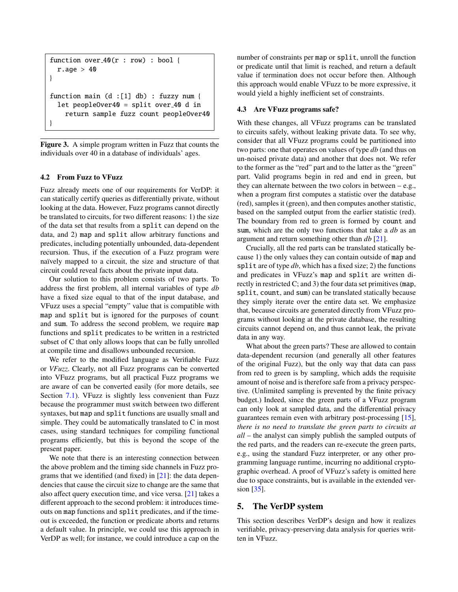```
function over 40(r : row) : boolr \cdot age > 40}
function main (d :[1] db) : fuzzy num {
  let peopleOver40 = split over 40 d in
    return sample fuzz count peopleOver40
}
```
<span id="page-5-1"></span>Figure 3. A simple program written in Fuzz that counts the individuals over 40 in a database of individuals' ages.

# 4.2 From Fuzz to VFuzz

Fuzz already meets one of our requirements for VerDP: it can statically certify queries as differentially private, without looking at the data. However, Fuzz programs cannot directly be translated to circuits, for two different reasons: 1) the size of the data set that results from a split can depend on the data, and 2) map and split allow arbitrary functions and predicates, including potentially unbounded, data-dependent recursion. Thus, if the execution of a Fuzz program were naïvely mapped to a circuit, the size and structure of that circuit could reveal facts about the private input data.

Our solution to this problem consists of two parts. To address the first problem, all internal variables of type *db* have a fixed size equal to that of the input database, and VFuzz uses a special "empty" value that is compatible with map and split but is ignored for the purposes of count and sum. To address the second problem, we require map functions and split predicates to be written in a restricted subset of C that only allows loops that can be fully unrolled at compile time and disallows unbounded recursion.

We refer to the modified language as Verifiable Fuzz or *VFuzz*. Clearly, not all Fuzz programs can be converted into VFuzz programs, but all practical Fuzz programs we are aware of can be converted easily (for more details, see Section [7.1\)](#page-9-1). VFuzz is slightly less convenient than Fuzz because the programmer must switch between two different syntaxes, but map and split functions are usually small and simple. They could be automatically translated to C in most cases, using standard techniques for compiling functional programs efficiently, but this is beyond the scope of the present paper.

We note that there is an interesting connection between the above problem and the timing side channels in Fuzz programs that we identified (and fixed) in  $[21]$ : the data dependencies that cause the circuit size to change are the same that also affect query execution time, and vice versa. [\[21\]](#page-13-7) takes a different approach to the second problem: it introduces timeouts on map functions and split predicates, and if the timeout is exceeded, the function or predicate aborts and returns a default value. In principle, we could use this approach in VerDP as well; for instance, we could introduce a cap on the

number of constraints per map or split, unroll the function or predicate until that limit is reached, and return a default value if termination does not occur before then. Although this approach would enable VFuzz to be more expressive, it would yield a highly inefficient set of constraints.

### <span id="page-5-2"></span>4.3 Are VFuzz programs safe?

With these changes, all VFuzz programs can be translated to circuits safely, without leaking private data. To see why, consider that all VFuzz programs could be partitioned into two parts: one that operates on values of type *db* (and thus on un-noised private data) and another that does not. We refer to the former as the "red" part and to the latter as the "green" part. Valid programs begin in red and end in green, but they can alternate between the two colors in between  $-e.g.,$ when a program first computes a statistic over the database (red), samples it (green), and then computes another statistic, based on the sampled output from the earlier statistic (red). The boundary from red to green is formed by count and sum, which are the only two functions that take a *db* as an argument and return something other than *db* [\[21\]](#page-13-7).

Crucially, all the red parts can be translated statically because 1) the only values they can contain outside of map and split are of type *db*, which has a fixed size; 2) the functions and predicates in VFuzz's map and split are written directly in restricted C; and 3) the four data set primitives (map, split, count, and sum) can be translated statically because they simply iterate over the entire data set. We emphasize that, because circuits are generated directly from VFuzz programs without looking at the private database, the resulting circuits cannot depend on, and thus cannot leak, the private data in any way.

What about the green parts? These are allowed to contain data-dependent recursion (and generally all other features of the original Fuzz), but the only way that data can pass from red to green is by sampling, which adds the requisite amount of noise and is therefore safe from a privacy perspective. (Unlimited sampling is prevented by the finite privacy budget.) Indeed, since the green parts of a VFuzz program can only look at sampled data, and the differential privacy guarantees remain even with arbitrary post-processing [\[15\]](#page-13-3), *there is no need to translate the green parts to circuits at all* – the analyst can simply publish the sampled outputs of the red parts, and the readers can re-execute the green parts, e.g., using the standard Fuzz interpreter, or any other programming language runtime, incurring no additional cryptographic overhead. A proof of VFuzz's safety is omitted here due to space constraints, but is available in the extended ver-sion [\[35\]](#page-13-17).

# <span id="page-5-0"></span>5. The VerDP system

This section describes VerDP's design and how it realizes verifiable, privacy-preserving data analysis for queries written in VFuzz.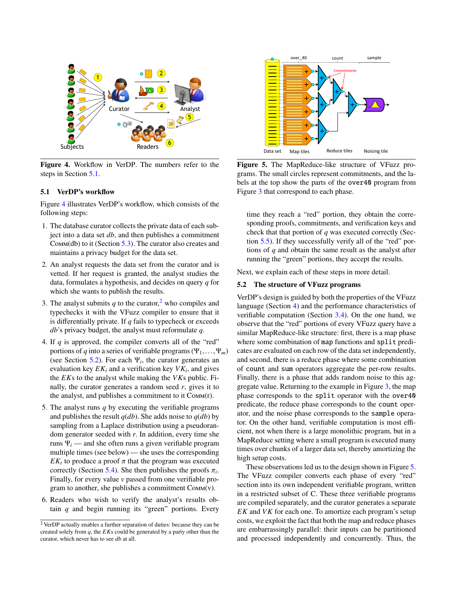

<span id="page-6-2"></span>Figure 4. Workflow in VerDP. The numbers refer to the steps in Section [5.1.](#page-6-1)

#### <span id="page-6-1"></span>5.1 VerDP's workflow

Figure [4](#page-6-2) illustrates VerDP's workflow, which consists of the following steps:

- 1. The database curator collects the private data of each subject into a data set *db*, and then publishes a commitment Comm(db) to it (Section [5.3\)](#page-7-1). The curator also creates and maintains a privacy budget for the data set.
- 2. An analyst requests the data set from the curator and is vetted. If her request is granted, the analyst studies the data, formulates a hypothesis, and decides on query *q* for which she wants to publish the results.
- 3. The analyst submits  $q$  to the curator,<sup>[2](#page-6-3)</sup> who compiles and typechecks it with the VFuzz compiler to ensure that it is differentially private. If *q* fails to typecheck or exceeds *db*'s privacy budget, the analyst must reformulate *q*.
- 4. If *q* is approved, the compiler converts all of the "red" portions of *q* into a series of verifiable programs  $(\Psi_1, \dots, \Psi_m)$ (see Section [5.2\)](#page-6-0). For each  $\Psi_i$ , the curator generates an evaluation key  $EK_i$  and a verification key  $VK_i$ , and gives the *EK*s to the analyst while making the *VK*s public. Finally, the curator generates a random seed  $r$ , gives it to the analyst, and publishes a commitment to it Comm(r).
- 5. The analyst runs *q* by executing the verifiable programs and publishes the result  $q(db)$ . She adds noise to  $q(db)$  by sampling from a Laplace distribution using a pseudorandom generator seeded with *r*. In addition, every time she runs  $\Psi_i$  — and she often runs a given verifiable program multiple times (see below) — she uses the corresponding *EK*<sup>*i*</sup> to produce a proof  $\pi$  that the program was executed correctly (Section 5.4). She then publishes the proofs  $\pi$ . correctly (Section [5.4\)](#page-7-0). She then publishes the proofs  $\pi_i$ .<br>Finally for every value *v* passed from one verifiable pro-Finally, for every value *v* passed from one verifiable program to another, she publishes a commitment Comm(v).
- 6. Readers who wish to verify the analyst's results obtain *q* and begin running its "green" portions. Every



<span id="page-6-4"></span>Figure 5. The MapReduce-like structure of VFuzz programs. The small circles represent commitments, and the labels at the top show the parts of the over40 program from Figure [3](#page-5-1) that correspond to each phase.

time they reach a "red" portion, they obtain the corresponding proofs, commitments, and verification keys and check that that portion of *q* was executed correctly (Section [5.5\)](#page-8-1). If they successfully verify all of the "red" portions of *q* and obtain the same result as the analyst after running the "green" portions, they accept the results.

Next, we explain each of these steps in more detail.

### <span id="page-6-0"></span>5.2 The structure of VFuzz programs

VerDP's design is guided by both the properties of the VFuzz language (Section [4\)](#page-4-0) and the performance characteristics of verifiable computation (Section [3.4\)](#page-4-2). On the one hand, we observe that the "red" portions of every VFuzz query have a similar MapReduce-like structure: first, there is a map phase where some combination of map functions and split predicates are evaluated on each row of the data set independently, and second, there is a reduce phase where some combination of count and sum operators aggregate the per-row results. Finally, there is a phase that adds random noise to this aggregate value. Returning to the example in Figure [3,](#page-5-1) the map phase corresponds to the split operator with the over40 predicate, the reduce phase corresponds to the count operator, and the noise phase corresponds to the sample operator. On the other hand, verifiable computation is most efficient, not when there is a large monolithic program, but in a MapReduce setting where a small program is executed many times over chunks of a larger data set, thereby amortizing the high setup costs.

These observations led us to the design shown in Figure [5.](#page-6-4) The VFuzz compiler converts each phase of every "red" section into its own independent verifiable program, written in a restricted subset of C. These three verifiable programs are compiled separately, and the curator generates a separate *EK* and *VK* for each one. To amortize each program's setup costs, we exploit the fact that both the map and reduce phases are embarrassingly parallel: their inputs can be partitioned and processed independently and concurrently. Thus, the

<span id="page-6-3"></span><sup>2</sup> VerDP actually enables a further separation of duties: because they can be created solely from *q*, the *EK*s could be generated by a party other than the curator, which never has to see *db* at all.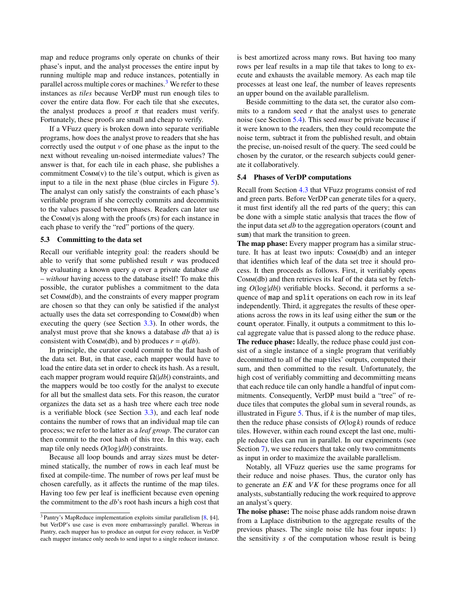map and reduce programs only operate on chunks of their phase's input, and the analyst processes the entire input by running multiple map and reduce instances, potentially in parallel across multiple cores or machines. $3$  We refer to these instances as *tiles* because VerDP must run enough tiles to cover the entire data flow. For each tile that she executes, the analyst produces a proof  $\pi$  that readers must verify. Fortunately, these proofs are small and cheap to verify.

If a VFuzz query is broken down into separate verifiable programs, how does the analyst prove to readers that she has correctly used the output *v* of one phase as the input to the next without revealing un-noised intermediate values? The answer is that, for each tile in each phase, she publishes a commitment  $COMM(v)$  to the tile's output, which is given as input to a tile in the next phase (blue circles in Figure [5\)](#page-6-4). The analyst can only satisfy the constraints of each phase's verifiable program if she correctly commits and decommits to the values passed between phases. Readers can later use the Comm(v)s along with the proofs  $(\pi s)$  for each instance in each phase to verify the "red" portions of the query.

#### <span id="page-7-1"></span>5.3 Committing to the data set

Recall our verifiable integrity goal: the readers should be able to verify that some published result *r* was produced by evaluating a known query *q* over a private database *db* – *without* having access to the database itself! To make this possible, the curator publishes a commitment to the data set Comm(db), and the constraints of every mapper program are chosen so that they can only be satisfied if the analyst actually uses the data set corresponding to Comm(db) when executing the query (see Section [3.3\)](#page-4-3). In other words, the analyst must prove that she knows a database *db* that a) is consistent with Comm(db), and b) produces  $r = q(db)$ .

In principle, the curator could commit to the flat hash of the data set. But, in that case, each mapper would have to load the entire data set in order to check its hash. As a result, each mapper program would require Ω(|*db*|) constraints, and the mappers would be too costly for the analyst to execute for all but the smallest data sets. For this reason, the curator organizes the data set as a hash tree where each tree node is a verifiable block (see Section  $3.3$ ), and each leaf node contains the number of rows that an individual map tile can process; we refer to the latter as a *leaf group*. The curator can then commit to the root hash of this tree. In this way, each map tile only needs  $O(\log |db|)$  constraints.

Because all loop bounds and array sizes must be determined statically, the number of rows in each leaf must be fixed at compile-time. The number of rows per leaf must be chosen carefully, as it affects the runtime of the map tiles. Having too few per leaf is inefficient because even opening the commitment to the *db*'s root hash incurs a high cost that is best amortized across many rows. But having too many rows per leaf results in a map tile that takes to long to execute and exhausts the available memory. As each map tile processes at least one leaf, the number of leaves represents an upper bound on the available parallelism.

Beside committing to the data set, the curator also commits to a random seed  $r$  that the analyst uses to generate noise (see Section [5.4\)](#page-7-0). This seed *must* be private because if it were known to the readers, then they could recompute the noise term, subtract it from the published result, and obtain the precise, un-noised result of the query. The seed could be chosen by the curator, or the research subjects could generate it collaboratively.

### <span id="page-7-0"></span>5.4 Phases of VerDP computations

Recall from Section [4.3](#page-5-2) that VFuzz programs consist of red and green parts. Before VerDP can generate tiles for a query, it must first identify all the red parts of the query; this can be done with a simple static analysis that traces the flow of the input data set *db* to the aggregation operators (count and sum) that mark the transition to green.

The map phase: Every mapper program has a similar structure. It has at least two inputs: Comm(db) and an integer that identifies which leaf of the data set tree it should process. It then proceeds as follows. First, it verifiably opens Comm(db) and then retrieves its leaf of the data set by fetching *O*(log|*db*|) verifiable blocks. Second, it performs a sequence of map and split operations on each row in its leaf independently. Third, it aggregates the results of these operations across the rows in its leaf using either the sum or the count operator. Finally, it outputs a commitment to this local aggregate value that is passed along to the reduce phase. The reduce phase: Ideally, the reduce phase could just consist of a single instance of a single program that verifiably decommitted to all of the map tiles' outputs, computed their sum, and then committed to the result. Unfortunately, the high cost of verifiably committing and decommitting means that each reduce tile can only handle a handful of input commitments. Consequently, VerDP must build a "tree" of reduce tiles that computes the global sum in several rounds, as illustrated in Figure [5.](#page-6-4) Thus, if *k* is the number of map tiles, then the reduce phase consists of *O*(log*k*) rounds of reduce tiles. However, within each round except the last one, multiple reduce tiles can run in parallel. In our experiments (see Section [7\)](#page-9-0), we use reducers that take only two commitments as input in order to maximize the available parallelism.

Notably, all VFuzz queries use the same programs for their reduce and noise phases. Thus, the curator only has to generate an *EK* and *VK* for these programs once for all analysts, substantially reducing the work required to approve an analyst's query.

The noise phase: The noise phase adds random noise drawn from a Laplace distribution to the aggregate results of the previous phases. The single noise tile has four inputs: 1) the sensitivity *s* of the computation whose result is being

<span id="page-7-2"></span><sup>3</sup> Pantry's MapReduce implementation exploits similar parallelism [\[8,](#page-12-5) §4], but VerDP's use case is even more embarrassingly parallel. Whereas in Pantry, each mapper has to produce an output for every reducer, in VerDP each mapper instance only needs to send input to a single reducer instance.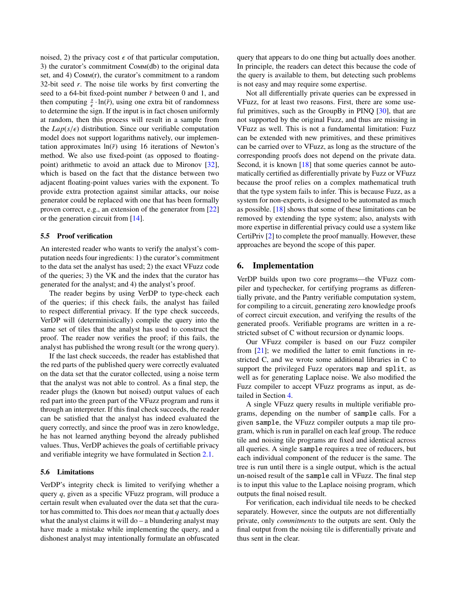noised, 2) the privacy cost  $\epsilon$  of that particular computation, 3) the curator's commitment Comm(db) to the original data set, and 4) Comm(r), the curator's commitment to a random 32-bit seed *r*. The noise tile works by first converting the seed to a 64-bit fixed-point number  $\bar{r}$  between 0 and 1, and then computing  $\frac{s}{e} \cdot \ln(\bar{r})$ , using one extra bit of randomness to determine the sign. If the input is in fact chosen uniformly at random, then this process will result in a sample from the  $Lap(s/\epsilon)$  distribution. Since our verifiable computation model does not support logarithms natively, our implementation approximates  $ln(\bar{r})$  using 16 iterations of Newton's method. We also use fixed-point (as opposed to floatingpoint) arithmetic to avoid an attack due to Mironov [\[32\]](#page-13-18), which is based on the fact that the distance between two adjacent floating-point values varies with the exponent. To provide extra protection against similar attacks, our noise generator could be replaced with one that has been formally proven correct, e.g., an extension of the generator from [\[22\]](#page-13-19) or the generation circuit from [\[14\]](#page-12-6).

### <span id="page-8-1"></span>5.5 Proof verification

An interested reader who wants to verify the analyst's computation needs four ingredients: 1) the curator's commitment to the data set the analyst has used; 2) the exact VFuzz code of the queries; 3) the VK and the index that the curator has generated for the analyst; and 4) the analyst's proof.

The reader begins by using VerDP to type-check each of the queries; if this check fails, the analyst has failed to respect differential privacy. If the type check succeeds, VerDP will (deterministically) compile the query into the same set of tiles that the analyst has used to construct the proof. The reader now verifies the proof; if this fails, the analyst has published the wrong result (or the wrong query).

If the last check succeeds, the reader has established that the red parts of the published query were correctly evaluated on the data set that the curator collected, using a noise term that the analyst was not able to control. As a final step, the reader plugs the (known but noised) output values of each red part into the green part of the VFuzz program and runs it through an interpreter. If this final check succeeds, the reader can be satisfied that the analyst has indeed evaluated the query correctly, and since the proof was in zero knowledge, he has not learned anything beyond the already published values. Thus, VerDP achieves the goals of certifiable privacy and verifiable integrity we have formulated in Section [2.1.](#page-1-1)

### 5.6 Limitations

VerDP's integrity check is limited to verifying whether a query *q*, given as a specific VFuzz program, will produce a certain result when evaluated over the data set that the curator has committed to. This does *not* mean that *q* actually does what the analyst claims it will  $d\sigma - a$  blundering analyst may have made a mistake while implementing the query, and a dishonest analyst may intentionally formulate an obfuscated query that appears to do one thing but actually does another. In principle, the readers can detect this because the code of the query is available to them, but detecting such problems is not easy and may require some expertise.

Not all differentially private queries can be expressed in VFuzz, for at least two reasons. First, there are some useful primitives, such as the GroupBy in PINQ [\[30\]](#page-13-4), that are not supported by the original Fuzz, and thus are missing in VFuzz as well. This is not a fundamental limitation: Fuzz can be extended with new primitives, and these primitives can be carried over to VFuzz, as long as the structure of the corresponding proofs does not depend on the private data. Second, it is known [\[18\]](#page-13-6) that some queries cannot be automatically certified as differentially private by Fuzz or VFuzz because the proof relies on a complex mathematical truth that the type system fails to infer. This is because Fuzz, as a system for non-experts, is designed to be automated as much as possible. [\[18\]](#page-13-6) shows that some of these limitations can be removed by extending the type system; also, analysts with more expertise in differential privacy could use a system like CertiPriv [\[2\]](#page-12-7) to complete the proof manually. However, these approaches are beyond the scope of this paper.

# <span id="page-8-0"></span>6. Implementation

VerDP builds upon two core programs—the VFuzz compiler and typechecker, for certifying programs as differentially private, and the Pantry verifiable computation system, for compiling to a circuit, generating zero knowledge proofs of correct circuit execution, and verifying the results of the generated proofs. Verifiable programs are written in a restricted subset of C without recursion or dynamic loops.

Our VFuzz compiler is based on our Fuzz compiler from  $[21]$ ; we modified the latter to emit functions in restricted C, and we wrote some additional libraries in C to support the privileged Fuzz operators map and split, as well as for generating Laplace noise. We also modified the Fuzz compiler to accept VFuzz programs as input, as detailed in Section [4.](#page-4-0)

A single VFuzz query results in multiple verifiable programs, depending on the number of sample calls. For a given sample, the VFuzz compiler outputs a map tile program, which is run in parallel on each leaf group. The reduce tile and noising tile programs are fixed and identical across all queries. A single sample requires a tree of reducers, but each individual component of the reducer is the same. The tree is run until there is a single output, which is the actual un-noised result of the sample call in VFuzz. The final step is to input this value to the Laplace noising program, which outputs the final noised result.

For verification, each individual tile needs to be checked separately. However, since the outputs are not differentially private, only *commitments* to the outputs are sent. Only the final output from the noising tile is differentially private and thus sent in the clear.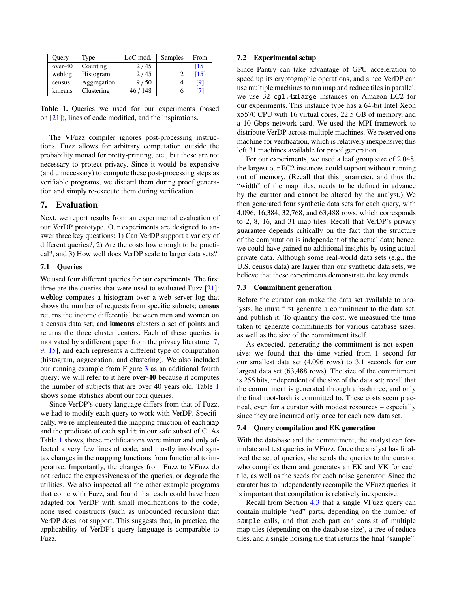| Ouery     | Type        | LoC mod. | Samples | From               |
|-----------|-------------|----------|---------|--------------------|
| $over-40$ | Counting    | 2/45     |         | [15]               |
| weblog    | Histogram   | 2/45     |         | $\lceil 15 \rceil$ |
| census    | Aggregation | 9/50     |         | [9]                |
| kmeans    | Clustering  | 46 / 148 |         |                    |

<span id="page-9-2"></span>Table 1. Queries we used for our experiments (based on [\[21\]](#page-13-7)), lines of code modified, and the inspirations.

The VFuzz compiler ignores post-processing instructions. Fuzz allows for arbitrary computation outside the probability monad for pretty-printing, etc., but these are not necessary to protect privacy. Since it would be expensive (and unnecessary) to compute these post-processing steps as verifiable programs, we discard them during proof generation and simply re-execute them during verification.

# <span id="page-9-0"></span>7. Evaluation

Next, we report results from an experimental evaluation of our VerDP prototype. Our experiments are designed to answer three key questions: 1) Can VerDP support a variety of different queries?, 2) Are the costs low enough to be practical?, and 3) How well does VerDP scale to larger data sets?

# <span id="page-9-1"></span>7.1 Queries

We used four different queries for our experiments. The first three are the queries that were used to evaluated Fuzz  $[21]$ : weblog computes a histogram over a web server log that shows the number of requests from specific subnets; census returns the income differential between men and women on a census data set; and kmeans clusters a set of points and returns the three cluster centers. Each of these queries is motivated by a different paper from the privacy literature [\[7,](#page-12-9) [9,](#page-12-8) [15\]](#page-13-3), and each represents a different type of computation (histogram, aggregation, and clustering). We also included our running example from Figure [3](#page-5-1) as an additional fourth query; we will refer to it here over-40 because it computes the number of subjects that are over 40 years old. Table [1](#page-9-2) shows some statistics about our four queries.

Since VerDP's query language differs from that of Fuzz, we had to modify each query to work with VerDP. Specifically, we re-implemented the mapping function of each map and the predicate of each split in our safe subset of C. As Table [1](#page-9-2) shows, these modifications were minor and only affected a very few lines of code, and mostly involved syntax changes in the mapping functions from functional to imperative. Importantly, the changes from Fuzz to VFuzz do not reduce the expressiveness of the queries, or degrade the utilities. We also inspected all the other example programs that come with Fuzz, and found that each could have been adapted for VerDP with small modifications to the code; none used constructs (such as unbounded recursion) that VerDP does not support. This suggests that, in practice, the applicability of VerDP's query language is comparable to Fuzz.

### 7.2 Experimental setup

Since Pantry can take advantage of GPU acceleration to speed up its cryptographic operations, and since VerDP can use multiple machines to run map and reduce tiles in parallel, we use 32 cg1.4xlarge instances on Amazon EC2 for our experiments. This instance type has a 64-bit Intel Xeon x5570 CPU with 16 virtual cores, 22.5 GB of memory, and a 10 Gbps network card. We used the MPI framework to distribute VerDP across multiple machines. We reserved one machine for verification, which is relatively inexpensive; this left 31 machines available for proof generation.

For our experiments, we used a leaf group size of 2,048, the largest our EC2 instances could support without running out of memory. (Recall that this parameter, and thus the "width" of the map tiles, needs to be defined in advance by the curator and cannot be altered by the analyst.) We then generated four synthetic data sets for each query, with 4,096, 16,384, 32,768, and 63,488 rows, which corresponds to 2, 8, 16, and 31 map tiles. Recall that VerDP's privacy guarantee depends critically on the fact that the structure of the computation is independent of the actual data; hence, we could have gained no additional insights by using actual private data. Although some real-world data sets (e.g., the U.S. census data) are larger than our synthetic data sets, we believe that these experiments demonstrate the key trends.

### 7.3 Commitment generation

Before the curator can make the data set available to analysts, he must first generate a commitment to the data set, and publish it. To quantify the cost, we measured the time taken to generate commitments for various database sizes, as well as the size of the commitment itself.

As expected, generating the commitment is not expensive: we found that the time varied from 1 second for our smallest data set (4,096 rows) to 3.1 seconds for our largest data set (63,488 rows). The size of the commitment is 256 bits, independent of the size of the data set; recall that the commitment is generated through a hash tree, and only the final root-hash is committed to. These costs seem practical, even for a curator with modest resources – especially since they are incurred only once for each new data set.

### 7.4 Query compilation and EK generation

With the database and the commitment, the analyst can formulate and test queries in VFuzz. Once the analyst has finalized the set of queries, she sends the queries to the curator, who compiles them and generates an EK and VK for each tile, as well as the seeds for each noise generator. Since the curator has to independently recompile the VFuzz queries, it is important that compilation is relatively inexpensive.

Recall from Section [4.3](#page-5-2) that a single VFuzz query can contain multiple "red" parts, depending on the number of sample calls, and that each part can consist of multiple map tiles (depending on the database size), a tree of reduce tiles, and a single noising tile that returns the final "sample".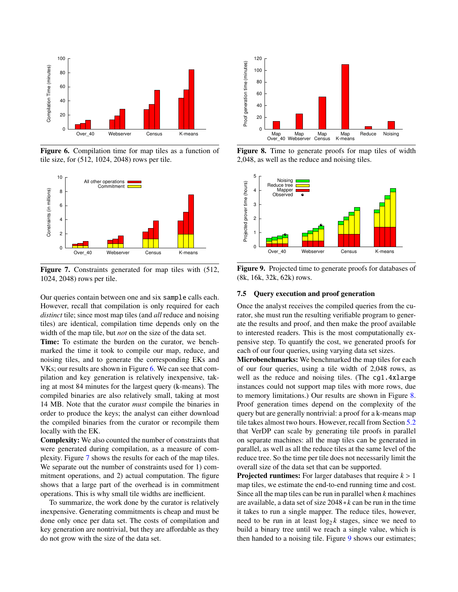

<span id="page-10-0"></span>Figure 6. Compilation time for map tiles as a function of tile size, for (512, 1024, 2048) rows per tile.



<span id="page-10-1"></span>Figure 7. Constraints generated for map tiles with (512, 1024, 2048) rows per tile.

Our queries contain between one and six sample calls each. However, recall that compilation is only required for each *distinct* tile; since most map tiles (and *all* reduce and noising tiles) are identical, compilation time depends only on the width of the map tile, but *not* on the size of the data set.

Time: To estimate the burden on the curator, we benchmarked the time it took to compile our map, reduce, and noising tiles, and to generate the corresponding EKs and VKs; our results are shown in Figure [6.](#page-10-0) We can see that compilation and key generation is relatively inexpensive, taking at most 84 minutes for the largest query (k-means). The compiled binaries are also relatively small, taking at most 14 MB. Note that the curator *must* compile the binaries in order to produce the keys; the analyst can either download the compiled binaries from the curator or recompile them locally with the EK.

Complexity: We also counted the number of constraints that were generated during compilation, as a measure of complexity. Figure [7](#page-10-1) shows the results for each of the map tiles. We separate out the number of constraints used for 1) commitment operations, and 2) actual computation. The figure shows that a large part of the overhead is in commitment operations. This is why small tile widths are inefficient.

To summarize, the work done by the curator is relatively inexpensive. Generating commitments is cheap and must be done only once per data set. The costs of compilation and key generation are nontrivial, but they are affordable as they do not grow with the size of the data set.



<span id="page-10-2"></span>Figure 8. Time to generate proofs for map tiles of width 2,048, as well as the reduce and noising tiles.



<span id="page-10-3"></span>Figure 9. Projected time to generate proofs for databases of (8k, 16k, 32k, 62k) rows.

# 7.5 Query execution and proof generation

Once the analyst receives the compiled queries from the curator, she must run the resulting verifiable program to generate the results and proof, and then make the proof available to interested readers. This is the most computationally expensive step. To quantify the cost, we generated proofs for each of our four queries, using varying data set sizes.

Microbenchmarks: We benchmarked the map tiles for each of our four queries, using a tile width of 2,048 rows, as well as the reduce and noising tiles. (The cg1.4xlarge instances could not support map tiles with more rows, due to memory limitations.) Our results are shown in Figure [8.](#page-10-2) Proof generation times depend on the complexity of the query but are generally nontrivial: a proof for a k-means map tile takes almost two hours. However, recall from Section [5.2](#page-6-0) that VerDP can scale by generating tile proofs in parallel on separate machines: all the map tiles can be generated in parallel, as well as all the reduce tiles at the same level of the reduce tree. So the time per tile does not necessarily limit the overall size of the data set that can be supported.

Projected runtimes: For larger databases that require *<sup>k</sup>* > <sup>1</sup> map tiles, we estimate the end-to-end running time and cost. Since all the map tiles can be run in parallel when *k* machines are available, a data set of size 2048∗*k* can be run in the time it takes to run a single mapper. The reduce tiles, however, need to be run in at least  $log_2 k$  stages, since we need to build a binary tree until we reach a single value, which is then handed to a noising tile. Figure [9](#page-10-3) shows our estimates;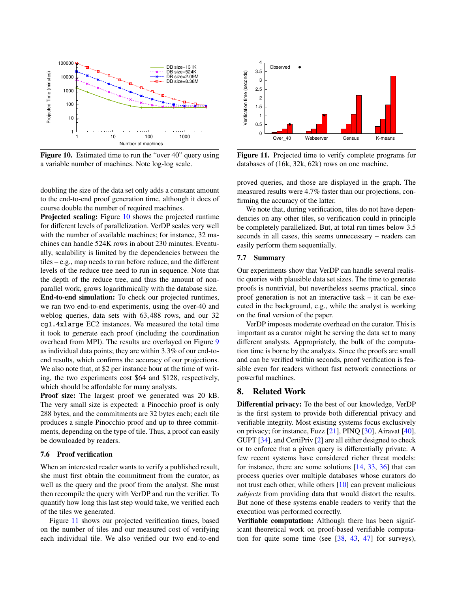

<span id="page-11-0"></span>Figure 10. Estimated time to run the "over 40" query using a variable number of machines. Note log-log scale.

doubling the size of the data set only adds a constant amount to the end-to-end proof generation time, although it does of course double the number of required machines.

Projected scaling: Figure [10](#page-11-0) shows the projected runtime for different levels of parallelization. VerDP scales very well with the number of available machines; for instance, 32 machines can handle 524K rows in about 230 minutes. Eventually, scalability is limited by the dependencies between the tiles – e.g., map needs to run before reduce, and the different levels of the reduce tree need to run in sequence. Note that the depth of the reduce tree, and thus the amount of nonparallel work, grows logarithmically with the database size. End-to-end simulation: To check our projected runtimes, we ran two end-to-end experiments, using the over-40 and weblog queries, data sets with 63,488 rows, and our 32 cg1.4xlarge EC2 instances. We measured the total time it took to generate each proof (including the coordination overhead from MPI). The results are overlayed on Figure [9](#page-10-3) as individual data points; they are within 3.3% of our end-toend results, which confirms the accuracy of our projections. We also note that, at \$2 per instance hour at the time of writing, the two experiments cost \$64 and \$128, respectively, which should be affordable for many analysts.

Proof size: The largest proof we generated was 20 kB. The very small size is expected: a Pinocchio proof is only 288 bytes, and the commitments are 32 bytes each; each tile produces a single Pinocchio proof and up to three commitments, depending on the type of tile. Thus, a proof can easily be downloaded by readers.

### 7.6 Proof verification

When an interested reader wants to verify a published result, she must first obtain the commitment from the curator, as well as the query and the proof from the analyst. She must then recompile the query with VerDP and run the verifier. To quantify how long this last step would take, we verified each of the tiles we generated.

Figure [11](#page-11-1) shows our projected verification times, based on the number of tiles and our measured cost of verifying each individual tile. We also verified our two end-to-end



<span id="page-11-1"></span>Figure 11. Projected time to verify complete programs for databases of (16k, 32k, 62k) rows on one machine.

proved queries, and those are displayed in the graph. The measured results were 4.7% faster than our projections, confirming the accuracy of the latter.

We note that, during verification, tiles do not have dependencies on any other tiles, so verification could in principle be completely parallelized. But, at total run times below 3.<sup>5</sup> seconds in all cases, this seems unnecessary – readers can easily perform them sequentially.

## 7.7 Summary

Our experiments show that VerDP can handle several realistic queries with plausible data set sizes. The time to generate proofs is nontrivial, but nevertheless seems practical, since proof generation is not an interactive task – it can be executed in the background, e.g., while the analyst is working on the final version of the paper.

VerDP imposes moderate overhead on the curator. This is important as a curator might be serving the data set to many different analysts. Appropriately, the bulk of the computation time is borne by the analysts. Since the proofs are small and can be verified within seconds, proof verification is feasible even for readers without fast network connections or powerful machines.

# 8. Related Work

Differential privacy: To the best of our knowledge, VerDP is the first system to provide both differential privacy and verifiable integrity. Most existing systems focus exclusively on privacy; for instance, Fuzz [\[21\]](#page-13-7), PINQ [\[30\]](#page-13-4), Airavat [\[40\]](#page-13-5), GUPT [\[34\]](#page-13-20), and CertiPriv [\[2\]](#page-12-7) are all either designed to check or to enforce that a given query is differentially private. A few recent systems have considered richer threat models: for instance, there are some solutions [\[14,](#page-12-6) [33,](#page-13-16) [36\]](#page-13-21) that can process queries over multiple databases whose curators do not trust each other, while others [\[10\]](#page-12-10) can prevent malicious *subjects* from providing data that would distort the results. But none of these systems enable readers to verify that the execution was performed correctly.

Verifiable computation: Although there has been significant theoretical work on proof-based verifiable computation for quite some time (see [\[38,](#page-13-13) [43,](#page-13-22) [47\]](#page-13-23) for surveys),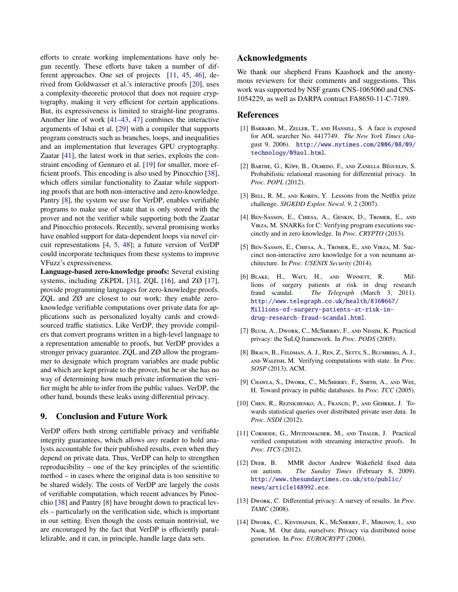efforts to create working implementations have only begun recently. These efforts have taken a number of different approaches. One set of projects [\[11,](#page-12-11) [45,](#page-13-24) [46\]](#page-13-25), derived from Goldwasser et al.'s interactive proofs [\[20\]](#page-13-26), uses a complexity-theoretic protocol that does not require cryptography, making it very efficient for certain applications. But, its expressiveness is limited to straight-line programs. Another line of work [\[41–](#page-13-27)[43,](#page-13-22) [47\]](#page-13-23) combines the interactive arguments of Ishai et al. [\[29\]](#page-13-28) with a compiler that supports program constructs such as branches, loops, and inequalities and an implementation that leverages GPU cryptography. Zaatar [\[41\]](#page-13-27), the latest work in that series, exploits the constraint encoding of Gennaro et al. [\[19\]](#page-13-29) for smaller, more efficient proofs. This encoding is also used by Pinocchio [\[38\]](#page-13-13), which offers similar functionality to Zaatar while supporting proofs that are both non-interactive and zero-knowledge. Pantry [\[8\]](#page-12-5), the system we use for VerDP, enables verifiable programs to make use of state that is only stored with the prover and not the verifier while supporting both the Zaatar and Pinocchio protocols. Recently, several promising works have enabled support for data-dependent loops via novel circuit representations [\[4,](#page-12-12) [5,](#page-12-13) [48\]](#page-13-30); a future version of VerDP could incorporate techniques from these systems to improve VFuzz's expressiveness.

Language-based zero-knowledge proofs: Several existing systems, including ZKPDL  $[31]$ , ZQL  $[16]$ , and ZØ  $[17]$ , provide programming languages for zero-knowledge proofs. ZQL and ZØ are closest to our work: they enable zeroknowledge verifiable computations over private data for applications such as personalized loyalty cards and crowdsourced traffic statistics. Like VerDP, they provide compilers that convert programs written in a high-level language to a representation amenable to proofs, but VerDP provides a stronger privacy guarantee. ZQL and ZØ allow the programmer to designate which program variables are made public and which are kept private to the prover, but he or she has no way of determining how much private information the verifier might be able to infer from the public values. VerDP, the other hand, bounds these leaks using differential privacy.

# 9. Conclusion and Future Work

VerDP offers both strong certifiable privacy and verifiable integrity guarantees, which allows *any* reader to hold analysts accountable for their published results, even when they depend on private data. Thus, VerDP can help to strengthen reproducibility – one of the key principles of the scientific method – in cases where the original data is too sensitive to be shared widely. The costs of VerDP are largely the costs of verifiable computation, which recent advances by Pinocchio [\[38\]](#page-13-13) and Pantry [\[8\]](#page-12-5) have brought down to practical levels – particularly on the verification side, which is important in our setting. Even though the costs remain nontrivial, we are encouraged by the fact that VerDP is efficiently parallelizable, and it can, in principle, handle large data sets.

# Acknowledgments

We thank our shepherd Frans Kaashoek and the anonymous reviewers for their comments and suggestions. This work was supported by NSF grants CNS-1065060 and CNS-1054229, as well as DARPA contract FA8650-11-C-7189.

# References

- <span id="page-12-0"></span>[1] BARBARO, M., ZELLER, T., AND HANSELL, S. A face is exposed for AOL searcher No. 4417749. *The New York Times* (August 9, 2006). [http://www.nytimes.com/2006/08/09/](http://www.nytimes.com/2006/08/09/technology/09aol.html) [technology/09aol.html](http://www.nytimes.com/2006/08/09/technology/09aol.html).
- <span id="page-12-7"></span>[2] BARTHE, G., KÖPF, B., OLMEDO, F., AND ZANELLA BÉGUELIN, S. Probabilistic relational reasoning for differential privacy. In *Proc. POPL* (2012).
- <span id="page-12-1"></span>[3] BELL, R. M., AND KOREN, Y. Lessons from the Netflix prize challenge. *SIGKDD Explor. Newsl. 9*, 2 (2007).
- <span id="page-12-12"></span>[4] Ben-Sasson, E., Chiesa, A., Genkin, D., Tromer, E., and Virza, M. SNARKs for C: Verifying program executions succinctly and in zero knowledge. In *Proc. CRYPTO* (2013).
- <span id="page-12-13"></span>[5] Ben-Sasson, E., Chiesa, A., Tromer, E., and Virza, M. Succinct non-interactive zero knowledge for a von neumann architecture. In *Proc. USENIX Security* (2014).
- <span id="page-12-2"></span>[6] Blake, H., Watt, H., and Winnett, R. Millions of surgery patients at risk in drug research fraud scandal. *The Telegraph* (March 3, 2011). [http://www.telegraph.co.uk/health/8360667/](http://www.telegraph.co.uk/health/8360667/Millions-of-surgery-patients-at-risk-in-) [Millions-of-surgery-patients-at-risk-in](http://www.telegraph.co.uk/health/8360667/Millions-of-surgery-patients-at-risk-in-)<drug-research-fraud-scandal.html>.
- <span id="page-12-9"></span>[7] Blum, A., Dwork, C., McSherry, F., and Nissim, K. Practical privacy: the SuLQ framework. In *Proc. PODS* (2005).
- <span id="page-12-5"></span>[8] Braun, B., Feldman, A. J., Ren, Z., Setty, S., Blumberg, A. J., and Walfish, M. Verifying computations with state. In *Proc. SOSP* (2013), ACM.
- <span id="page-12-8"></span>[9] CHAWLA, S., DWORK, C., McSHERRY, F., SMITH, A., AND WEE, H. Toward privacy in public databases. In *Proc. TCC* (2005).
- <span id="page-12-10"></span>[10] Chen, R., Reznichenko, A., Francis, P., and Gehrke, J. Towards statistical queries over distributed private user data. In *Proc. NSDI* (2012).
- <span id="page-12-11"></span>[11] CORMODE, G., MITZENMACHER, M., AND THALER, J. Practical verified computation with streaming interactive proofs. In *Proc. ITCS* (2012).
- <span id="page-12-3"></span>[12] DEER, B. MMR doctor Andrew Wakefield fixed data on autism. *The Sunday Times* (February 8, 2009). [http://www.thesundaytimes.co.uk/sto/public/](http://www.thesundaytimes.co.uk/sto/public/news/article148992.ece) [news/article148992.ece](http://www.thesundaytimes.co.uk/sto/public/news/article148992.ece).
- <span id="page-12-4"></span>[13] Dwork, C. Differential privacy: A survey of results. In *Proc. TAMC* (2008).
- <span id="page-12-6"></span>[14] Dwork, C., Kenthapadi, K., McSherry, F., Mironov, I., and Naor, M. Our data, ourselves: Privacy via distributed noise generation. In *Proc. EUROCRYPT* (2006).